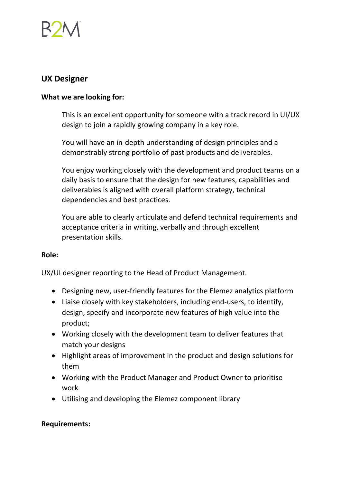

# **UX Designer**

### **What we are looking for:**

This is an excellent opportunity for someone with a track record in UI/UX design to join a rapidly growing company in a key role.

You will have an in-depth understanding of design principles and a demonstrably strong portfolio of past products and deliverables.

You enjoy working closely with the development and product teams on a daily basis to ensure that the design for new features, capabilities and deliverables is aligned with overall platform strategy, technical dependencies and best practices.

You are able to clearly articulate and defend technical requirements and acceptance criteria in writing, verbally and through excellent presentation skills.

#### **Role:**

UX/UI designer reporting to the Head of Product Management.

- Designing new, user-friendly features for the Elemez analytics platform
- Liaise closely with key stakeholders, including end-users, to identify, design, specify and incorporate new features of high value into the product;
- Working closely with the development team to deliver features that match your designs
- Highlight areas of improvement in the product and design solutions for them
- Working with the Product Manager and Product Owner to prioritise work
- Utilising and developing the Elemez component library

#### **Requirements:**